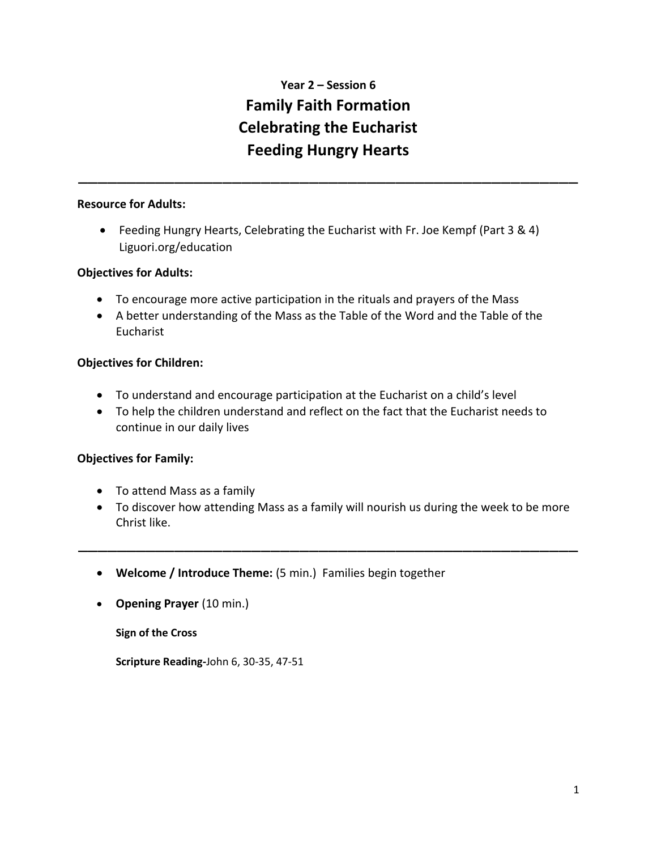# **Year 2 – Session 6 Family Faith Formation Celebrating the Eucharist Feeding Hungry Hearts**

\_\_\_\_\_\_\_\_\_\_\_\_\_\_\_\_\_\_\_\_\_\_\_\_\_\_\_\_\_\_\_\_\_\_\_\_\_\_\_\_\_\_\_\_\_\_\_\_\_\_\_\_

### **Resource for Adults:**

 Feeding Hungry Hearts, Celebrating the Eucharist with Fr. Joe Kempf (Part 3 & 4) Liguori.org/education

#### **Objectives for Adults:**

- To encourage more active participation in the rituals and prayers of the Mass
- A better understanding of the Mass as the Table of the Word and the Table of the Eucharist

### **Objectives for Children:**

- To understand and encourage participation at the Eucharist on a child's level
- To help the children understand and reflect on the fact that the Eucharist needs to continue in our daily lives

### **Objectives for Family:**

- To attend Mass as a family
- To discover how attending Mass as a family will nourish us during the week to be more Christ like.

\_\_\_\_\_\_\_\_\_\_\_\_\_\_\_\_\_\_\_\_\_\_\_\_\_\_\_\_\_\_\_\_\_\_\_\_\_\_\_\_\_\_\_\_\_\_\_\_\_\_\_\_

- **Welcome / Introduce Theme:** (5 min.) Families begin together
- **Opening Prayer** (10 min.)

**Sign of the Cross**

**Scripture Reading-**John 6, 30-35, 47-51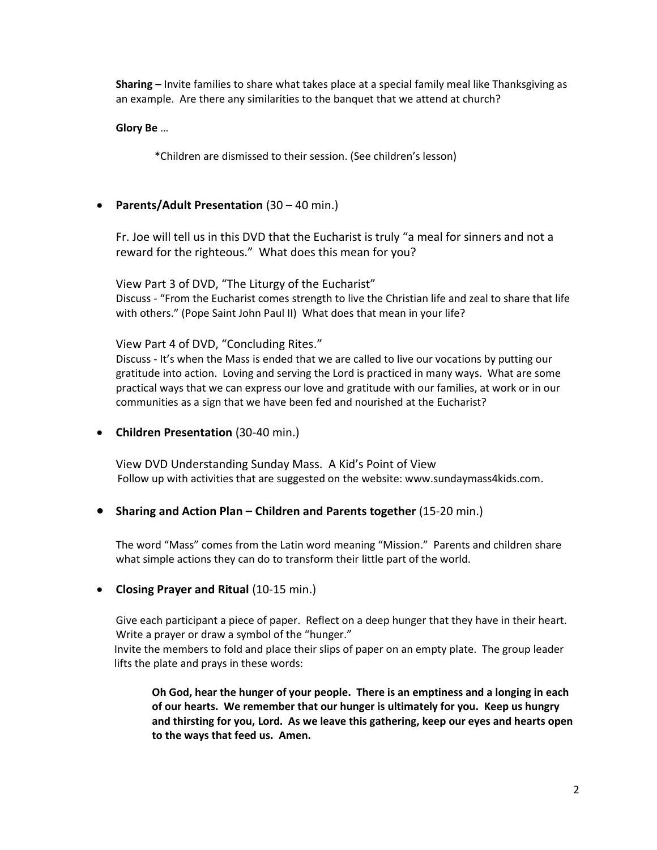**Sharing –** Invite families to share what takes place at a special family meal like Thanksgiving as an example. Are there any similarities to the banquet that we attend at church?

**Glory Be** …

\*Children are dismissed to their session. (See children's lesson)

## **Parents/Adult Presentation** (30 – 40 min.)

Fr. Joe will tell us in this DVD that the Eucharist is truly "a meal for sinners and not a reward for the righteous." What does this mean for you?

View Part 3 of DVD, "The Liturgy of the Eucharist" Discuss - "From the Eucharist comes strength to live the Christian life and zeal to share that life with others." (Pope Saint John Paul II) What does that mean in your life?

View Part 4 of DVD, "Concluding Rites."

Discuss - It's when the Mass is ended that we are called to live our vocations by putting our gratitude into action. Loving and serving the Lord is practiced in many ways. What are some practical ways that we can express our love and gratitude with our families, at work or in our communities as a sign that we have been fed and nourished at the Eucharist?

**Children Presentation** (30-40 min.)

View DVD Understanding Sunday Mass. A Kid's Point of View Follow up with activities that are suggested on the website: www.sundaymass4kids.com.

### **Sharing and Action Plan – Children and Parents together** (15-20 min.)

The word "Mass" comes from the Latin word meaning "Mission." Parents and children share what simple actions they can do to transform their little part of the world.

### **• Closing Prayer and Ritual (10-15 min.)**

Give each participant a piece of paper. Reflect on a deep hunger that they have in their heart. Write a prayer or draw a symbol of the "hunger."

Invite the members to fold and place their slips of paper on an empty plate. The group leader lifts the plate and prays in these words:

 **Oh God, hear the hunger of your people. There is an emptiness and a longing in each of our hearts. We remember that our hunger is ultimately for you. Keep us hungry and thirsting for you, Lord. As we leave this gathering, keep our eyes and hearts open to the ways that feed us. Amen.**